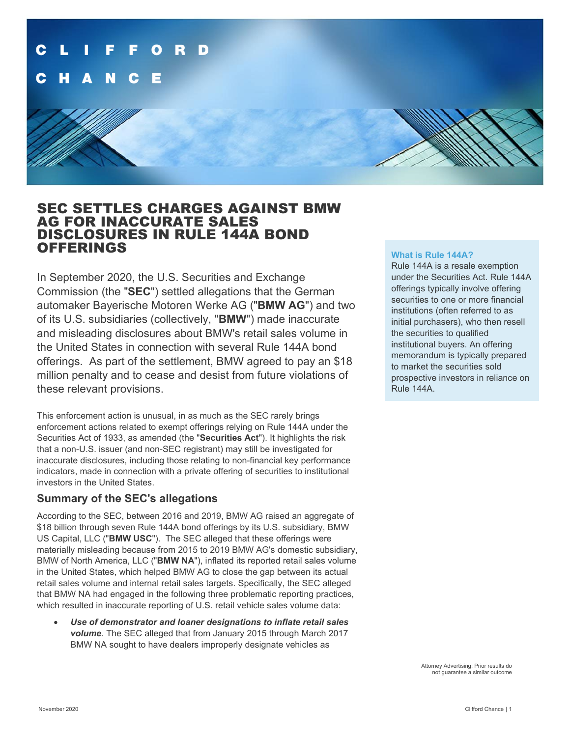

# SEC SETTLES CHARGES AGAINST BMW AG FOR INACCURATE SALES DISCLOSURES IN RULE 144A BOND OFFERINGS

In September 2020, the U.S. Securities and Exchange Commission (the "**SEC**") settled allegations that the German automaker Bayerische Motoren Werke AG ("**BMW AG**") and two of its U.S. subsidiaries (collectively, "**BMW**") made inaccurate and misleading disclosures about BMW's retail sales volume in the United States in connection with several Rule 144A bond offerings. As part of the settlement, BMW agreed to pay an \$18 million penalty and to cease and desist from future violations of these relevant provisions.

This enforcement action is unusual, in as much as the SEC rarely brings enforcement actions related to exempt offerings relying on Rule 144A under the Securities Act of 1933, as amended (the "**Securities Act**"). It highlights the risk that a non-U.S. issuer (and non-SEC registrant) may still be investigated for inaccurate disclosures, including those relating to non-financial key performance indicators, made in connection with a private offering of securities to institutional investors in the United States.

## **Summary of the SEC's allegations**

According to the SEC, between 2016 and 2019, BMW AG raised an aggregate of \$18 billion through seven Rule 144A bond offerings by its U.S. subsidiary, BMW US Capital, LLC ("**BMW USC**"). The SEC alleged that these offerings were materially misleading because from 2015 to 2019 BMW AG's domestic subsidiary, BMW of North America, LLC ("**BMW NA**"), inflated its reported retail sales volume in the United States, which helped BMW AG to close the gap between its actual retail sales volume and internal retail sales targets. Specifically, the SEC alleged that BMW NA had engaged in the following three problematic reporting practices, which resulted in inaccurate reporting of U.S. retail vehicle sales volume data:

• *Use of demonstrator and loaner designations to inflate retail sales volume*. The SEC alleged that from January 2015 through March 2017 BMW NA sought to have dealers improperly designate vehicles as

### **What is Rule 144A?**

Rule 144A is a resale exemption under the Securities Act. Rule 144A offerings typically involve offering securities to one or more financial institutions (often referred to as initial purchasers), who then resell the securities to qualified institutional buyers. An offering memorandum is typically prepared to market the securities sold prospective investors in reliance on Rule 144A.

> Attorney Advertising: Prior results do not guarantee a similar outcome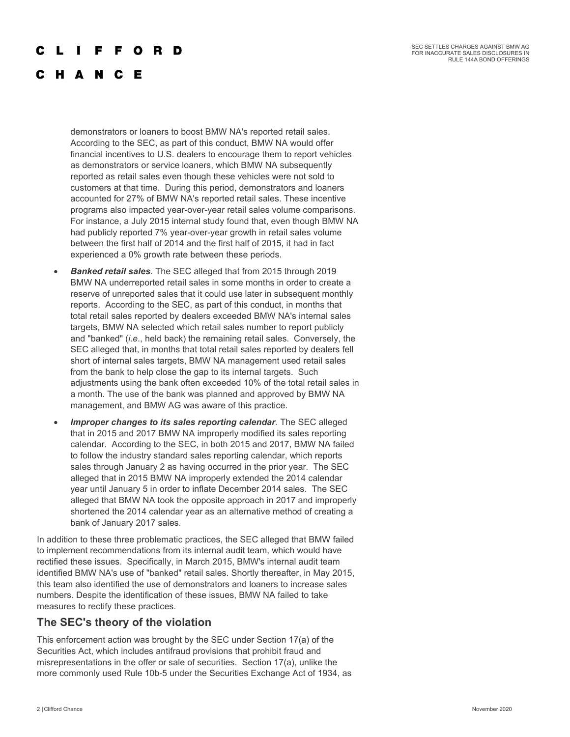## F F O R D

# C H A N C E

demonstrators or loaners to boost BMW NA's reported retail sales. According to the SEC, as part of this conduct, BMW NA would offer financial incentives to U.S. dealers to encourage them to report vehicles as demonstrators or service loaners, which BMW NA subsequently reported as retail sales even though these vehicles were not sold to customers at that time. During this period, demonstrators and loaners accounted for 27% of BMW NA's reported retail sales. These incentive programs also impacted year-over-year retail sales volume comparisons. For instance, a July 2015 internal study found that, even though BMW NA had publicly reported 7% year-over-year growth in retail sales volume between the first half of 2014 and the first half of 2015, it had in fact experienced a 0% growth rate between these periods.

- *Banked retail sales*. The SEC alleged that from 2015 through 2019 BMW NA underreported retail sales in some months in order to create a reserve of unreported sales that it could use later in subsequent monthly reports. According to the SEC, as part of this conduct, in months that total retail sales reported by dealers exceeded BMW NA's internal sales targets, BMW NA selected which retail sales number to report publicly and "banked" (*i.e*., held back) the remaining retail sales. Conversely, the SEC alleged that, in months that total retail sales reported by dealers fell short of internal sales targets, BMW NA management used retail sales from the bank to help close the gap to its internal targets. Such adjustments using the bank often exceeded 10% of the total retail sales in a month. The use of the bank was planned and approved by BMW NA management, and BMW AG was aware of this practice.
- *Improper changes to its sales reporting calendar*. The SEC alleged that in 2015 and 2017 BMW NA improperly modified its sales reporting calendar. According to the SEC, in both 2015 and 2017, BMW NA failed to follow the industry standard sales reporting calendar, which reports sales through January 2 as having occurred in the prior year. The SEC alleged that in 2015 BMW NA improperly extended the 2014 calendar year until January 5 in order to inflate December 2014 sales. The SEC alleged that BMW NA took the opposite approach in 2017 and improperly shortened the 2014 calendar year as an alternative method of creating a bank of January 2017 sales.

In addition to these three problematic practices, the SEC alleged that BMW failed to implement recommendations from its internal audit team, which would have rectified these issues. Specifically, in March 2015, BMW's internal audit team identified BMW NA's use of "banked" retail sales. Shortly thereafter, in May 2015, this team also identified the use of demonstrators and loaners to increase sales numbers. Despite the identification of these issues, BMW NA failed to take measures to rectify these practices.

### **The SEC's theory of the violation**

This enforcement action was brought by the SEC under Section 17(a) of the Securities Act, which includes antifraud provisions that prohibit fraud and misrepresentations in the offer or sale of securities. Section 17(a), unlike the more commonly used Rule 10b-5 under the Securities Exchange Act of 1934, as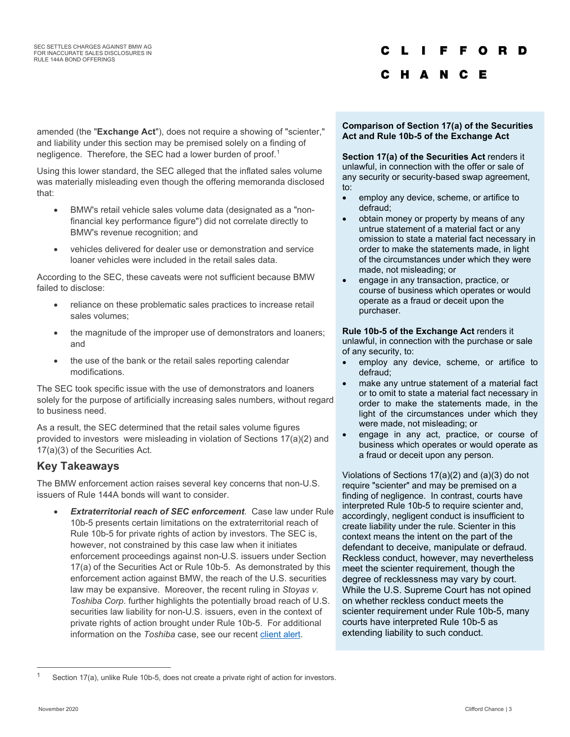# F O R D

### C H A N C E

amended (the "**Exchange Act**"), does not require a showing of "scienter," and liability under this section may be premised solely on a finding of negligence. Therefore, the SEC had a lower burden of proof.<sup>[1](#page-2-0)</sup>

Using this lower standard, the SEC alleged that the inflated sales volume was materially misleading even though the offering memoranda disclosed that:

- BMW's retail vehicle sales volume data (designated as a "nonfinancial key performance figure") did not correlate directly to BMW's revenue recognition; and
- vehicles delivered for dealer use or demonstration and service loaner vehicles were included in the retail sales data.

According to the SEC, these caveats were not sufficient because BMW failed to disclose:

- reliance on these problematic sales practices to increase retail sales volumes;
- the magnitude of the improper use of demonstrators and loaners; and
- the use of the bank or the retail sales reporting calendar modifications.

The SEC took specific issue with the use of demonstrators and loaners solely for the purpose of artificially increasing sales numbers, without regard to business need.

As a result, the SEC determined that the retail sales volume figures provided to investors were misleading in violation of Sections 17(a)(2) and 17(a)(3) of the Securities Act.

## **Key Takeaways**

The BMW enforcement action raises several key concerns that non-U.S. issuers of Rule 144A bonds will want to consider.

• *Extraterritorial reach of SEC enforcement*. Case law under Rule 10b-5 presents certain limitations on the extraterritorial reach of Rule 10b-5 for private rights of action by investors. The SEC is, however, not constrained by this case law when it initiates enforcement proceedings against non-U.S. issuers under Section 17(a) of the Securities Act or Rule 10b-5. As demonstrated by this enforcement action against BMW, the reach of the U.S. securities law may be expansive. Moreover, the recent ruling in *Stoyas v. Toshiba Corp*. further highlights the potentially broad reach of U.S. securities law liability for non-U.S. issuers, even in the context of private rights of action brought under Rule 10b-5. For additional information on the *Toshiba* case, see our recent [client alert.](https://www.cliffordchance.com/briefings/2020/03/district-court-ruling-sets-high-bar-for-early-stage-dismissal-of0.html)

### **Comparison of Section 17(a) of the Securities Act and Rule 10b-5 of the Exchange Act**

**Section 17(a) of the Securities Act** renders it unlawful, in connection with the offer or sale of any security or security-based swap agreement, to:

- employ any device, scheme, or artifice to defraud;
- obtain money or property by means of any untrue statement of a material fact or any omission to state a material fact necessary in order to make the statements made, in light of the circumstances under which they were made, not misleading; or
- engage in any transaction, practice, or course of business which operates or would operate as a fraud or deceit upon the purchaser.

### **Rule 10b-5 of the Exchange Act** renders it

unlawful, in connection with the purchase or sale of any security, to:

- employ any device, scheme, or artifice to defraud;
- make any untrue statement of a material fact or to omit to state a material fact necessary in order to make the statements made, in the light of the circumstances under which they were made, not misleading; or
- engage in any act, practice, or course of business which operates or would operate as a fraud or deceit upon any person.

Violations of Sections 17(a)(2) and (a)(3) do not require "scienter" and may be premised on a finding of negligence. In contrast, courts have interpreted Rule 10b-5 to require scienter and, accordingly, negligent conduct is insufficient to create liability under the rule. Scienter in this context means the intent on the part of the defendant to deceive, manipulate or defraud. Reckless conduct, however, may nevertheless meet the scienter requirement, though the degree of recklessness may vary by court. While the U.S. Supreme Court has not opined on whether reckless conduct meets the scienter requirement under Rule 10b-5, many courts have interpreted Rule 10b-5 as extending liability to such conduct.

<span id="page-2-0"></span>Section 17(a), unlike Rule 10b-5, does not create a private right of action for investors.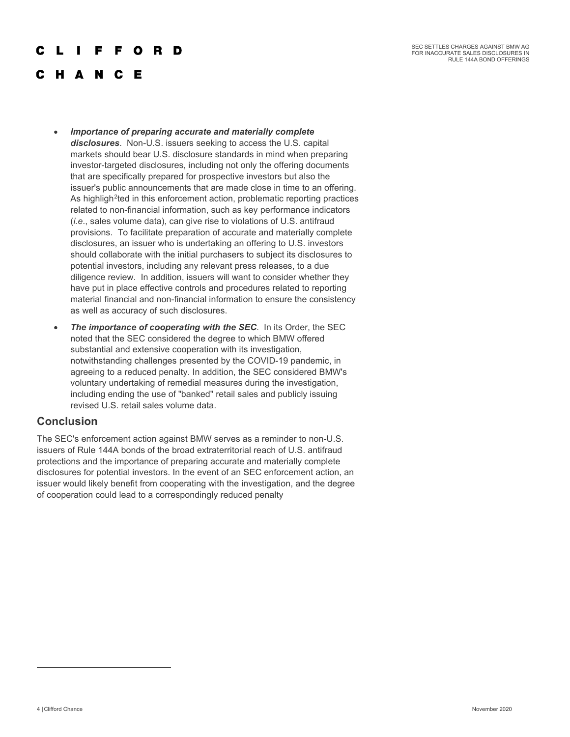SEC SETTLES CHARGES AGAINST BMW AG FOR INACCURATE SALES DISCLOSURES IN RULE 144A BOND OFFERINGS

#### F O D D

# **HANCE**

- *Importance of preparing accurate and materially complete disclosures*. Non-U.S. issuers seeking to access the U.S. capital markets should bear U.S. disclosure standards in mind when preparing investor-targeted disclosures, including not only the offering documents that are specifically prepared for prospective investors but also the issuer's public announcements that are made close in time to an offering. As highligh<sup>[2](#page-3-0)</sup>ted in this enforcement action, problematic reporting practices related to non-financial information, such as key performance indicators (*i.e*., sales volume data), can give rise to violations of U.S. antifraud provisions. To facilitate preparation of accurate and materially complete disclosures, an issuer who is undertaking an offering to U.S. investors should collaborate with the initial purchasers to subject its disclosures to potential investors, including any relevant press releases, to a due diligence review. In addition, issuers will want to consider whether they have put in place effective controls and procedures related to reporting material financial and non-financial information to ensure the consistency as well as accuracy of such disclosures.
- *The importance of cooperating with the SEC. In its Order, the SEC* noted that the SEC considered the degree to which BMW offered substantial and extensive cooperation with its investigation, notwithstanding challenges presented by the COVID-19 pandemic, in agreeing to a reduced penalty. In addition, the SEC considered BMW's voluntary undertaking of remedial measures during the investigation, including ending the use of "banked" retail sales and publicly issuing revised U.S. retail sales volume data.

### **Conclusion**

<span id="page-3-0"></span>The SEC's enforcement action against BMW serves as a reminder to non-U.S. issuers of Rule 144A bonds of the broad extraterritorial reach of U.S. antifraud protections and the importance of preparing accurate and materially complete disclosures for potential investors. In the event of an SEC enforcement action, an issuer would likely benefit from cooperating with the investigation, and the degree of cooperation could lead to a correspondingly reduced penalty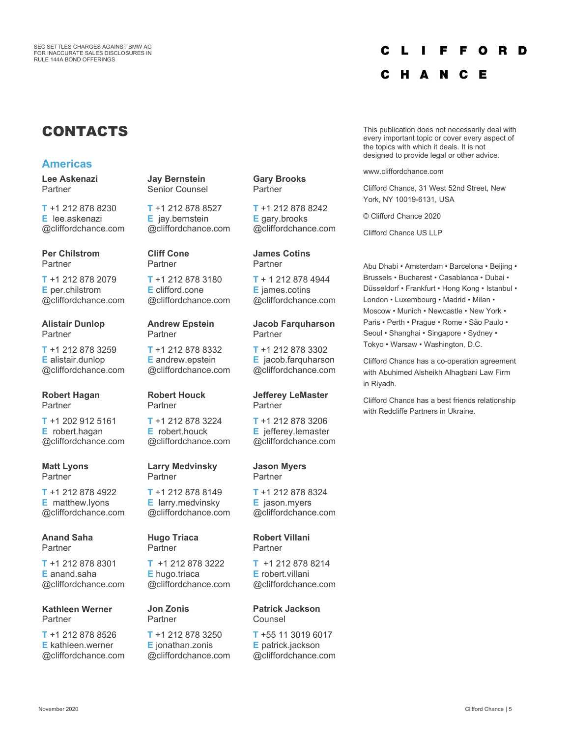#### C L F.  $\Omega$ R D

Е

N. C

# CONTACTS

### **Americas**

**Lee Askenazi** Partner

**T** +1 212 878 8230 **E** lee.askenazi @cliffordchance.com

**Per Chilstrom** Partner

**T** +1 212 878 2079 **E** per.chilstrom @cliffordchance.com

**Alistair Dunlop** Partner

**T** +1 212 878 3259 **E** alistair.dunlop @cliffordchance.com

**Robert Hagan Partner** 

**T** +1 202 912 5161 **E** robert.hagan @cliffordchance.com

**Matt Lyons Partner** 

**T** +1 212 878 4922 **E** matthew.lyons @cliffordchance.com

**Anand Saha Partner** 

**T** +1 212 878 8301 **E** anand.saha @cliffordchance.com

**Kathleen Werner** Partner

**T** +1 212 878 8526 **E** kathleen.werner @cliffordchance.com **Jay Bernstein** Senior Counsel

**T** +1 212 878 8527 **E** jay.bernstein @cliffordchance.com

**Cliff Cone** Partner

**T** +1 212 878 3180 **E** clifford.cone @cliffordchance.com

**Andrew Epstein** Partner

**T** +1 212 878 8332 **E** andrew.epstein @cliffordchance.com

**Robert Houck** Partner

**T** +1 212 878 3224 **E** robert.houck @cliffordchance.com

**Larry Medvinsky** Partner

**T** +1 212 878 8149 **E** larry.medvinsky @cliffordchance.com

**Hugo Triaca** Partner

**T** +1 212 878 3222 **E** hugo.triaca @cliffordchance.com

**Jon Zonis** Partner

**T** +1 212 878 3250 **E** jonathan.zonis @cliffordchance.com **Gary Brooks** Partner

**T** +1 212 878 8242 **E** gary.brooks @cliffordchance.com

**James Cotins** Partner

**T** + 1 212 878 4944 **E** james.cotins @cliffordchance.com

### **Jacob Farquharson** Partner

**T** +1 212 878 3302 **E** jacob.farquharson @cliffordchance.com

**Jefferey LeMaster** Partner

**T** +1 212 878 3206 **E** jefferey.lemaster @cliffordchance.com

**Jason Myers** Partner

**T** +1 212 878 8324 **E** jason.myers @cliffordchance.com

**Robert Villani** Partner

**T** +1 212 878 8214 **E** robert.villani @cliffordchance.com

**Patrick Jackson** Counsel

**T** +55 11 3019 6017 **E** patrick.jackson @cliffordchance.com This publication does not necessarily deal with every important topic or cover every aspect of the topics with which it deals. It is not designed to provide legal or other advice.

www.cliffordchance.com

с н

Clifford Chance, 31 West 52nd Street, New York, NY 10019-6131, USA

© Clifford Chance 2020

Clifford Chance US LLP

Abu Dhabi • Amsterdam • Barcelona • Beijing • Brussels • Bucharest • Casablanca • Dubai • Düsseldorf • Frankfurt • Hong Kong • Istanbul • London • Luxembourg • Madrid • Milan • Moscow • Munich • Newcastle • New York • Paris • Perth • Prague • Rome • São Paulo • Seoul • Shanghai • Singapore • Sydney • Tokyo • Warsaw • Washington, D.C.

Clifford Chance has a co-operation agreement with Abuhimed Alsheikh Alhagbani Law Firm in Riyadh.

Clifford Chance has a best friends relationship with Redcliffe Partners in Ukraine.